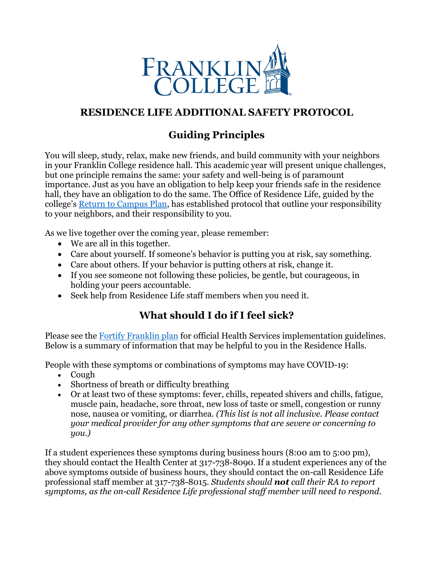

## **RESIDENCE LIFE ADDITIONAL SAFETY PROTOCOL**

# **Guiding Principles**

You will sleep, study, relax, make new friends, and build community with your neighbors in your Franklin College residence hall. This academic year will present unique challenges, but one principle remains the same: your safety and well-being is of paramount importance. Just as you have an obligation to help keep your friends safe in the residence hall, they have an obligation to do the same. The Office of Residence Life, guided by the college's [Return to Campus Plan,](https://franklincollege.edu/wp-content/uploads/2020/08/Plan_080320.pdf) has established protocol that outline your responsibility to your neighbors, and their responsibility to you.

As we live together over the coming year, please remember:

- We are all in this together.
- Care about yourself. If someone's behavior is putting you at risk, say something.
- Care about others. If your behavior is putting others at risk, change it.
- If you see someone not following these policies, be gentle, but courageous, in holding your peers accountable.
- Seek help from Residence Life staff members when you need it.

# **What should I do if I feel sick?**

Please see the [Fortify Franklin plan](https://franklincollege.edu/wp-content/uploads/2020/08/Plan_080320.pdf) for official Health Services implementation guidelines. Below is a summary of information that may be helpful to you in the Residence Halls.

People with these symptoms or combinations of symptoms may have COVID-19:

- Cough
- Shortness of breath or difficulty breathing
- Or at least two of these symptoms: fever, chills, repeated shivers and chills, fatigue, muscle pain, headache, sore throat, new loss of taste or smell, congestion or runny nose, nausea or vomiting, or diarrhea. *(This list is not all inclusive. Please contact your medical provider for any other symptoms that are severe or concerning to you.)*

If a student experiences these symptoms during business hours (8:00 am to 5:00 pm), they should contact the Health Center at 317-738-8090. If a student experiences any of the above symptoms outside of business hours, they should contact the on-call Residence Life professional staff member at 317-738-8015. *Students should not call their RA to report symptoms, as the on-call Residence Life professional staff member will need to respond.*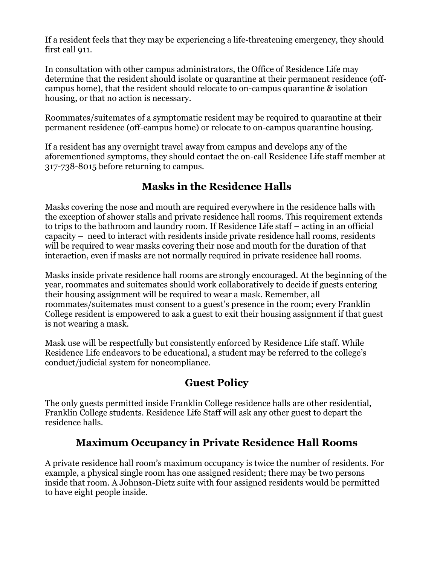If a resident feels that they may be experiencing a life-threatening emergency, they should first call 911.

In consultation with other campus administrators, the Office of Residence Life may determine that the resident should isolate or quarantine at their permanent residence (offcampus home), that the resident should relocate to on-campus quarantine & isolation housing, or that no action is necessary.

Roommates/suitemates of a symptomatic resident may be required to quarantine at their permanent residence (off-campus home) or relocate to on-campus quarantine housing.

If a resident has any overnight travel away from campus and develops any of the aforementioned symptoms, they should contact the on-call Residence Life staff member at 317-738-8015 before returning to campus.

#### **Masks in the Residence Halls**

Masks covering the nose and mouth are required everywhere in the residence halls with the exception of shower stalls and private residence hall rooms. This requirement extends to trips to the bathroom and laundry room. If Residence Life staff – acting in an official capacity – need to interact with residents inside private residence hall rooms, residents will be required to wear masks covering their nose and mouth for the duration of that interaction, even if masks are not normally required in private residence hall rooms.

Masks inside private residence hall rooms are strongly encouraged. At the beginning of the year, roommates and suitemates should work collaboratively to decide if guests entering their housing assignment will be required to wear a mask. Remember, all roommates/suitemates must consent to a guest's presence in the room; every Franklin College resident is empowered to ask a guest to exit their housing assignment if that guest is not wearing a mask.

Mask use will be respectfully but consistently enforced by Residence Life staff. While Residence Life endeavors to be educational, a student may be referred to the college's conduct/judicial system for noncompliance.

#### **Guest Policy**

The only guests permitted inside Franklin College residence halls are other residential, Franklin College students. Residence Life Staff will ask any other guest to depart the residence halls.

# **Maximum Occupancy in Private Residence Hall Rooms**

A private residence hall room's maximum occupancy is twice the number of residents. For example, a physical single room has one assigned resident; there may be two persons inside that room. A Johnson-Dietz suite with four assigned residents would be permitted to have eight people inside.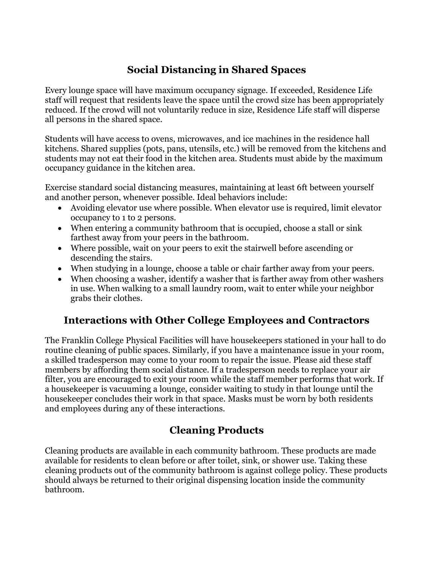# **Social Distancing in Shared Spaces**

Every lounge space will have maximum occupancy signage. If exceeded, Residence Life staff will request that residents leave the space until the crowd size has been appropriately reduced. If the crowd will not voluntarily reduce in size, Residence Life staff will disperse all persons in the shared space.

Students will have access to ovens, microwaves, and ice machines in the residence hall kitchens. Shared supplies (pots, pans, utensils, etc.) will be removed from the kitchens and students may not eat their food in the kitchen area. Students must abide by the maximum occupancy guidance in the kitchen area.

Exercise standard social distancing measures, maintaining at least 6ft between yourself and another person, whenever possible. Ideal behaviors include:

- Avoiding elevator use where possible. When elevator use is required, limit elevator occupancy to 1 to 2 persons.
- When entering a community bathroom that is occupied, choose a stall or sink farthest away from your peers in the bathroom.
- Where possible, wait on your peers to exit the stairwell before ascending or descending the stairs.
- When studying in a lounge, choose a table or chair farther away from your peers.
- When choosing a washer, identify a washer that is farther away from other washers in use. When walking to a small laundry room, wait to enter while your neighbor grabs their clothes.

#### **Interactions with Other College Employees and Contractors**

The Franklin College Physical Facilities will have housekeepers stationed in your hall to do routine cleaning of public spaces. Similarly, if you have a maintenance issue in your room, a skilled tradesperson may come to your room to repair the issue. Please aid these staff members by affording them social distance. If a tradesperson needs to replace your air filter, you are encouraged to exit your room while the staff member performs that work. If a housekeeper is vacuuming a lounge, consider waiting to study in that lounge until the housekeeper concludes their work in that space. Masks must be worn by both residents and employees during any of these interactions.

# **Cleaning Products**

Cleaning products are available in each community bathroom. These products are made available for residents to clean before or after toilet, sink, or shower use. Taking these cleaning products out of the community bathroom is against college policy. These products should always be returned to their original dispensing location inside the community bathroom.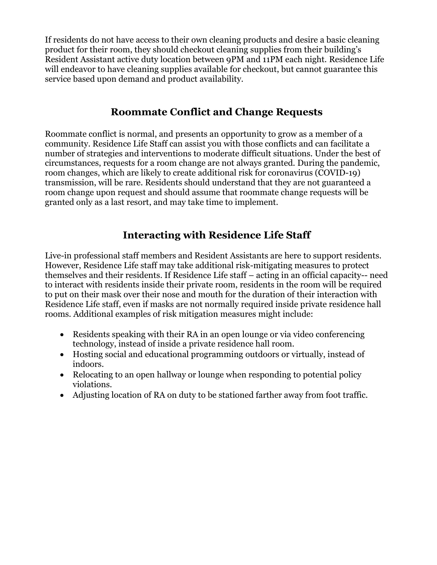If residents do not have access to their own cleaning products and desire a basic cleaning product for their room, they should checkout cleaning supplies from their building's Resident Assistant active duty location between 9PM and 11PM each night. Residence Life will endeavor to have cleaning supplies available for checkout, but cannot guarantee this service based upon demand and product availability.

#### **Roommate Conflict and Change Requests**

Roommate conflict is normal, and presents an opportunity to grow as a member of a community. Residence Life Staff can assist you with those conflicts and can facilitate a number of strategies and interventions to moderate difficult situations. Under the best of circumstances, requests for a room change are not always granted. During the pandemic, room changes, which are likely to create additional risk for coronavirus (COVID-19) transmission, will be rare. Residents should understand that they are not guaranteed a room change upon request and should assume that roommate change requests will be granted only as a last resort, and may take time to implement.

## **Interacting with Residence Life Staff**

Live-in professional staff members and Resident Assistants are here to support residents. However, Residence Life staff may take additional risk-mitigating measures to protect themselves and their residents. If Residence Life staff – acting in an official capacity-- need to interact with residents inside their private room, residents in the room will be required to put on their mask over their nose and mouth for the duration of their interaction with Residence Life staff, even if masks are not normally required inside private residence hall rooms. Additional examples of risk mitigation measures might include:

- Residents speaking with their RA in an open lounge or via video conferencing technology, instead of inside a private residence hall room.
- Hosting social and educational programming outdoors or virtually, instead of indoors.
- Relocating to an open hallway or lounge when responding to potential policy violations.
- Adjusting location of RA on duty to be stationed farther away from foot traffic.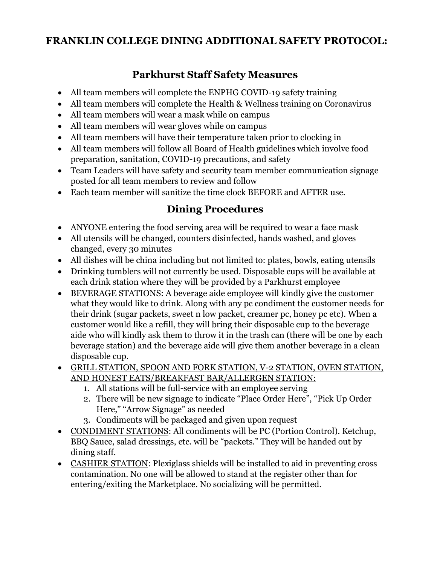#### **FRANKLIN COLLEGE DINING ADDITIONAL SAFETY PROTOCOL:**

## **Parkhurst Staff Safety Measures**

- All team members will complete the ENPHG COVID-19 safety training
- All team members will complete the Health & Wellness training on Coronavirus
- All team members will wear a mask while on campus
- All team members will wear gloves while on campus
- All team members will have their temperature taken prior to clocking in
- All team members will follow all Board of Health guidelines which involve food preparation, sanitation, COVID-19 precautions, and safety
- Team Leaders will have safety and security team member communication signage posted for all team members to review and follow
- Each team member will sanitize the time clock BEFORE and AFTER use.

## **Dining Procedures**

- ANYONE entering the food serving area will be required to wear a face mask
- All utensils will be changed, counters disinfected, hands washed, and gloves changed, every 30 minutes
- All dishes will be china including but not limited to: plates, bowls, eating utensils
- Drinking tumblers will not currently be used. Disposable cups will be available at each drink station where they will be provided by a Parkhurst employee
- BEVERAGE STATIONS: A beverage aide employee will kindly give the customer what they would like to drink. Along with any pc condiment the customer needs for their drink (sugar packets, sweet n low packet, creamer pc, honey pc etc). When a customer would like a refill, they will bring their disposable cup to the beverage aide who will kindly ask them to throw it in the trash can (there will be one by each beverage station) and the beverage aide will give them another beverage in a clean disposable cup.
- GRILL STATION, SPOON AND FORK STATION, V-2 STATION, OVEN STATION, AND HONEST EATS/BREAKFAST BAR/ALLERGEN STATION:
	- 1. All stations will be full-service with an employee serving
	- 2. There will be new signage to indicate "Place Order Here", "Pick Up Order Here," "Arrow Signage" as needed
	- 3. Condiments will be packaged and given upon request
- CONDIMENT STATIONS: All condiments will be PC (Portion Control). Ketchup, BBQ Sauce, salad dressings, etc. will be "packets." They will be handed out by dining staff.
- CASHIER STATION: Plexiglass shields will be installed to aid in preventing cross contamination. No one will be allowed to stand at the register other than for entering/exiting the Marketplace. No socializing will be permitted.